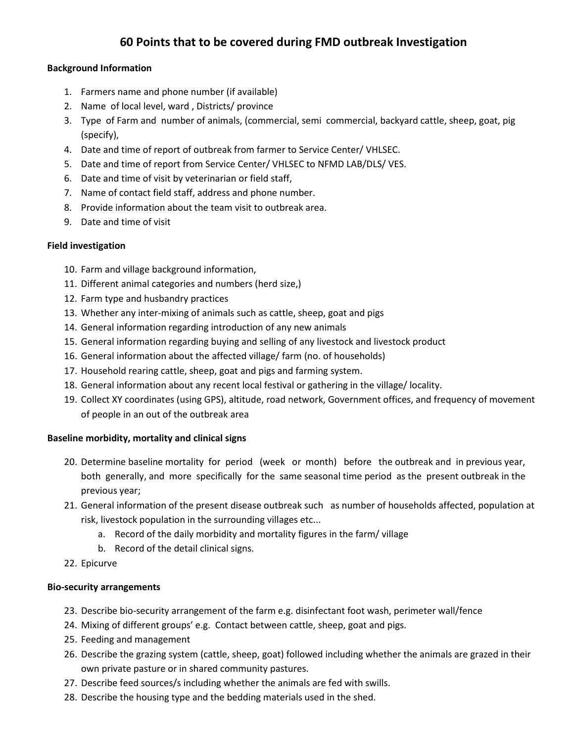# **60 Points that to be covered during FMD outbreak Investigation**

## **Background Information**

- 1. Farmers name and phone number (if available)
- 2. Name of local level, ward , Districts/ province
- 3. Type of Farm and number of animals, (commercial, semi commercial, backyard cattle, sheep, goat, pig (specify),
- 4. Date and time of report of outbreak from farmer to Service Center/ VHLSEC.
- 5. Date and time of report from Service Center/ VHLSEC to NFMD LAB/DLS/ VES.
- 6. Date and time of visit by veterinarian or field staff,
- 7. Name of contact field staff, address and phone number.
- 8. Provide information about the team visit to outbreak area.
- 9. Date and time of visit

# **Field investigation**

- 10. Farm and village background information,
- 11. Different animal categories and numbers (herd size,)
- 12. Farm type and husbandry practices
- 13. Whether any inter-mixing of animals such as cattle, sheep, goat and pigs
- 14. General information regarding introduction of any new animals
- 15. General information regarding buying and selling of any livestock and livestock product
- 16. General information about the affected village/ farm (no. of households)
- 17. Household rearing cattle, sheep, goat and pigs and farming system.
- 18. General information about any recent local festival or gathering in the village/ locality.
- 19. Collect XY coordinates (using GPS), altitude, road network, Government offices, and frequency of movement of people in an out of the outbreak area

# **Baseline morbidity, mortality and clinical signs**

- 20. Determine baseline mortality for period (week or month) before the outbreak and in previous year, both generally, and more specifically for the same seasonal time period as the present outbreak in the previous year;
- 21. General information of the present disease outbreak such as number of households affected, population at risk, livestock population in the surrounding villages etc...
	- a. Record of the daily morbidity and mortality figures in the farm/ village
	- b. Record of the detail clinical signs.
- 22. Epicurve

# **Bio-security arrangements**

- 23. Describe bio-security arrangement of the farm e.g. disinfectant foot wash, perimeter wall/fence
- 24. Mixing of different groups' e.g. Contact between cattle, sheep, goat and pigs.
- 25. Feeding and management
- 26. Describe the grazing system (cattle, sheep, goat) followed including whether the animals are grazed in their own private pasture or in shared community pastures.
- 27. Describe feed sources/s including whether the animals are fed with swills.
- 28. Describe the housing type and the bedding materials used in the shed.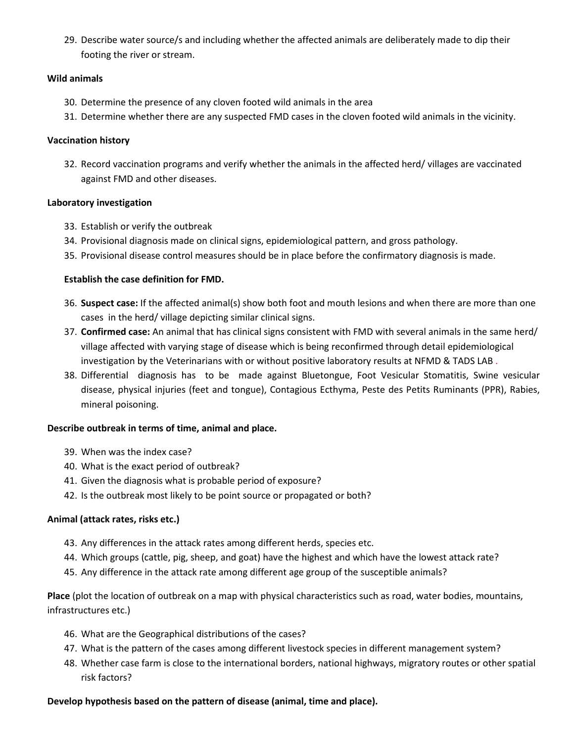29. Describe water source/s and including whether the affected animals are deliberately made to dip their footing the river or stream.

## **Wild animals**

- 30. Determine the presence of any cloven footed wild animals in the area
- 31. Determine whether there are any suspected FMD cases in the cloven footed wild animals in the vicinity.

### **Vaccination history**

32. Record vaccination programs and verify whether the animals in the affected herd/ villages are vaccinated against FMD and other diseases.

## **Laboratory investigation**

- 33. Establish or verify the outbreak
- 34. Provisional diagnosis made on clinical signs, epidemiological pattern, and gross pathology.
- 35. Provisional disease control measures should be in place before the confirmatory diagnosis is made.

## **Establish the case definition for FMD.**

- 36. **Suspect case:** If the affected animal(s) show both foot and mouth lesions and when there are more than one cases in the herd/ village depicting similar clinical signs.
- 37. **Confirmed case:** An animal that has clinical signs consistent with FMD with several animals in the same herd/ village affected with varying stage of disease which is being reconfirmed through detail epidemiological investigation by the Veterinarians with or without positive laboratory results at NFMD & TADS LAB.
- 38. Differential diagnosis has to be made against Bluetongue, Foot Vesicular Stomatitis, Swine vesicular disease, physical injuries (feet and tongue), Contagious Ecthyma, Peste des Petits Ruminants (PPR), Rabies, mineral poisoning.

# **Describe outbreak in terms of time, animal and place.**

- 39. When was the index case?
- 40. What is the exact period of outbreak?
- 41. Given the diagnosis what is probable period of exposure?
- 42. Is the outbreak most likely to be point source or propagated or both?

# **Animal (attack rates, risks etc.)**

- 43. Any differences in the attack rates among different herds, species etc.
- 44. Which groups (cattle, pig, sheep, and goat) have the highest and which have the lowest attack rate?
- 45. Any difference in the attack rate among different age group of the susceptible animals?

**Place** (plot the location of outbreak on a map with physical characteristics such as road, water bodies, mountains, infrastructures etc.)

- 46. What are the Geographical distributions of the cases?
- 47. What is the pattern of the cases among different livestock species in different management system?
- 48. Whether case farm is close to the international borders, national highways, migratory routes or other spatial risk factors?

# **Develop hypothesis based on the pattern of disease (animal, time and place).**